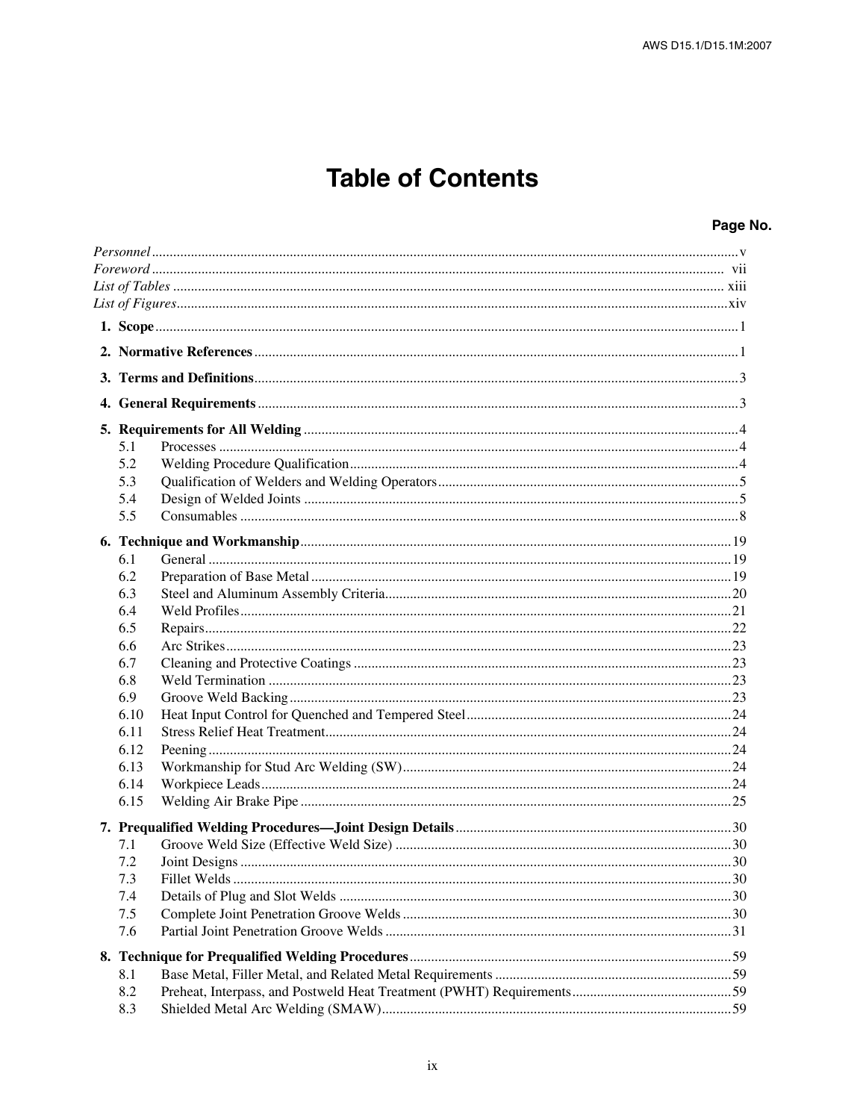## **Table of Contents**

| 5.1  |  |  |
|------|--|--|
| 5.2  |  |  |
| 5.3  |  |  |
| 5.4  |  |  |
| 5.5  |  |  |
|      |  |  |
| 6.1  |  |  |
| 6.2  |  |  |
| 6.3  |  |  |
| 6.4  |  |  |
| 6.5  |  |  |
| 6.6  |  |  |
| 6.7  |  |  |
| 6.8  |  |  |
| 6.9  |  |  |
| 6.10 |  |  |
| 6.11 |  |  |
| 6.12 |  |  |
| 6.13 |  |  |
| 6.14 |  |  |
| 6.15 |  |  |
|      |  |  |
| 7.1  |  |  |
| 7.2  |  |  |
| 7.3  |  |  |
| 7.4  |  |  |
| 7.5  |  |  |
| 7.6  |  |  |
|      |  |  |
| 8.1  |  |  |
| 8.2  |  |  |
| 8.3  |  |  |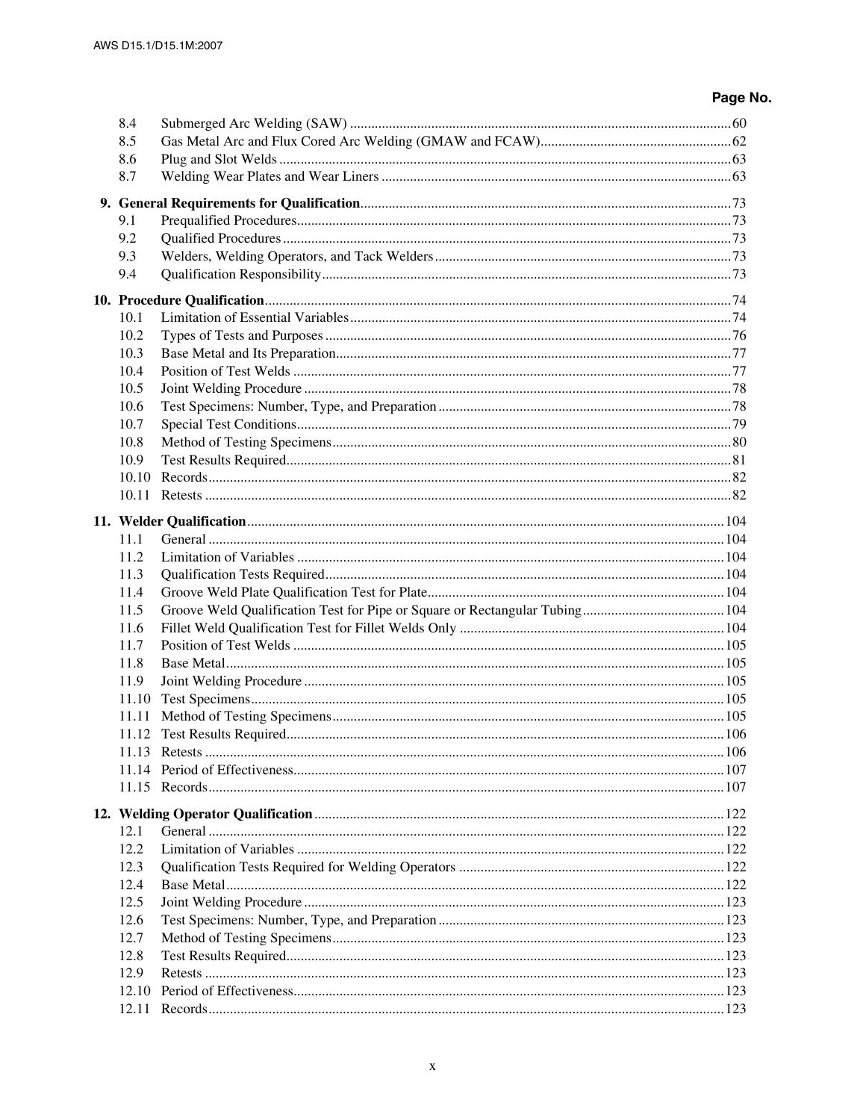| 8.4   |  |
|-------|--|
| 8.5   |  |
| 8.6   |  |
| 8.7   |  |
|       |  |
| 9.1   |  |
| 9.2   |  |
| 9.3   |  |
| 9.4   |  |
|       |  |
|       |  |
| 10.1  |  |
| 10.2  |  |
| 10.3  |  |
| 10.4  |  |
| 10.5  |  |
| 10.6  |  |
| 10.7  |  |
| 10.8  |  |
| 10.9  |  |
| 10.10 |  |
|       |  |
|       |  |
| 11.1  |  |
| 11.2  |  |
| 11.3  |  |
| 11.4  |  |
| 11.5  |  |
| 11.6  |  |
| 11.7  |  |
| 11.8  |  |
| 11.9  |  |
| 11.10 |  |
| 11.11 |  |
|       |  |
| 11.13 |  |
|       |  |
|       |  |
|       |  |
|       |  |
| 12.1  |  |
| 12.2  |  |
| 12.3  |  |
| 12.4  |  |
| 12.5  |  |
| 12.6  |  |
| 12.7  |  |
| 12.8  |  |
| 12.9  |  |
| 12.10 |  |
|       |  |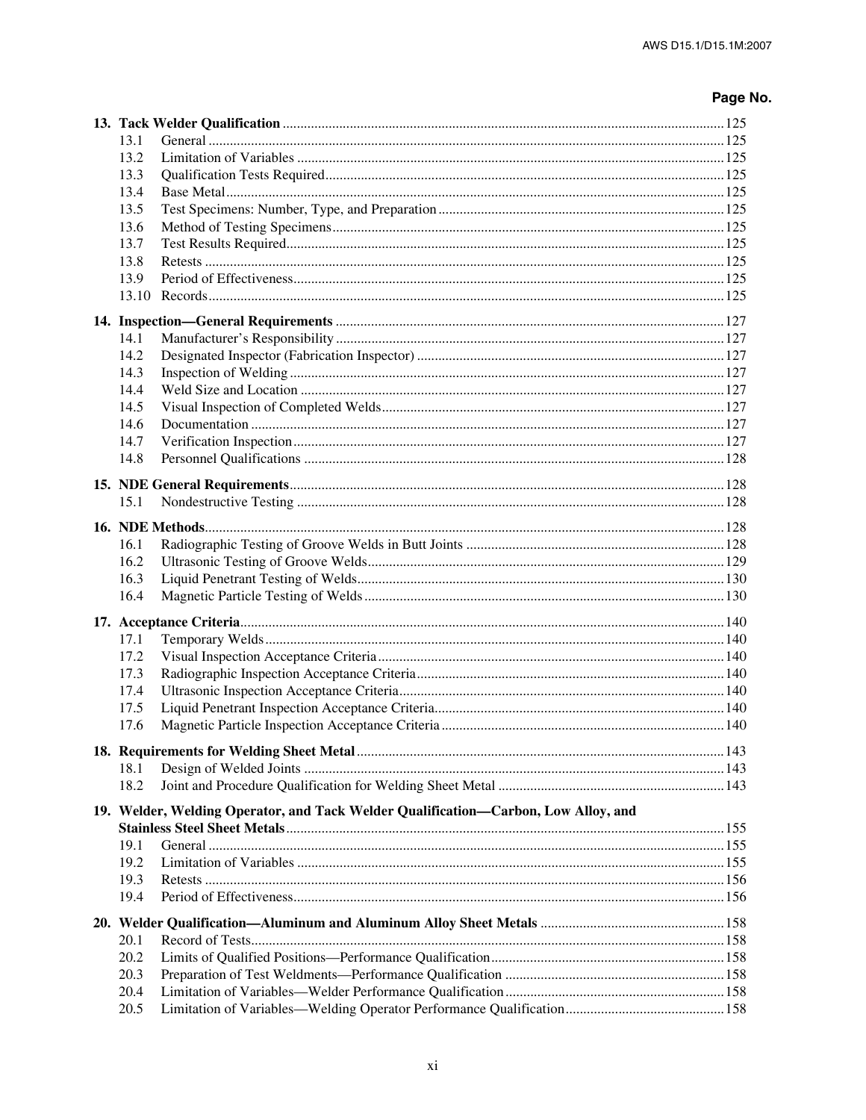| 13.1 |                                                                                    |  |
|------|------------------------------------------------------------------------------------|--|
| 13.2 |                                                                                    |  |
| 13.3 |                                                                                    |  |
| 13.4 |                                                                                    |  |
| 13.5 |                                                                                    |  |
| 13.6 |                                                                                    |  |
| 13.7 |                                                                                    |  |
| 13.8 |                                                                                    |  |
| 13.9 |                                                                                    |  |
|      |                                                                                    |  |
|      |                                                                                    |  |
| 14.1 |                                                                                    |  |
| 14.2 |                                                                                    |  |
| 14.3 |                                                                                    |  |
| 14.4 |                                                                                    |  |
| 14.5 |                                                                                    |  |
| 14.6 |                                                                                    |  |
| 14.7 |                                                                                    |  |
| 14.8 |                                                                                    |  |
|      |                                                                                    |  |
| 15.1 |                                                                                    |  |
|      |                                                                                    |  |
|      |                                                                                    |  |
| 16.1 |                                                                                    |  |
| 16.2 |                                                                                    |  |
| 16.3 |                                                                                    |  |
| 16.4 |                                                                                    |  |
|      |                                                                                    |  |
| 17.1 |                                                                                    |  |
| 17.2 |                                                                                    |  |
| 17.3 |                                                                                    |  |
| 17.4 |                                                                                    |  |
| 17.5 |                                                                                    |  |
| 17.6 |                                                                                    |  |
|      |                                                                                    |  |
| 18.1 |                                                                                    |  |
| 18.2 |                                                                                    |  |
|      | 19. Welder, Welding Operator, and Tack Welder Qualification—Carbon, Low Alloy, and |  |
|      |                                                                                    |  |
| 19.1 |                                                                                    |  |
| 19.2 |                                                                                    |  |
| 19.3 |                                                                                    |  |
| 19.4 |                                                                                    |  |
|      |                                                                                    |  |
| 20.1 |                                                                                    |  |
| 20.2 |                                                                                    |  |
| 20.3 |                                                                                    |  |
| 20.4 |                                                                                    |  |
| 20.5 |                                                                                    |  |
|      |                                                                                    |  |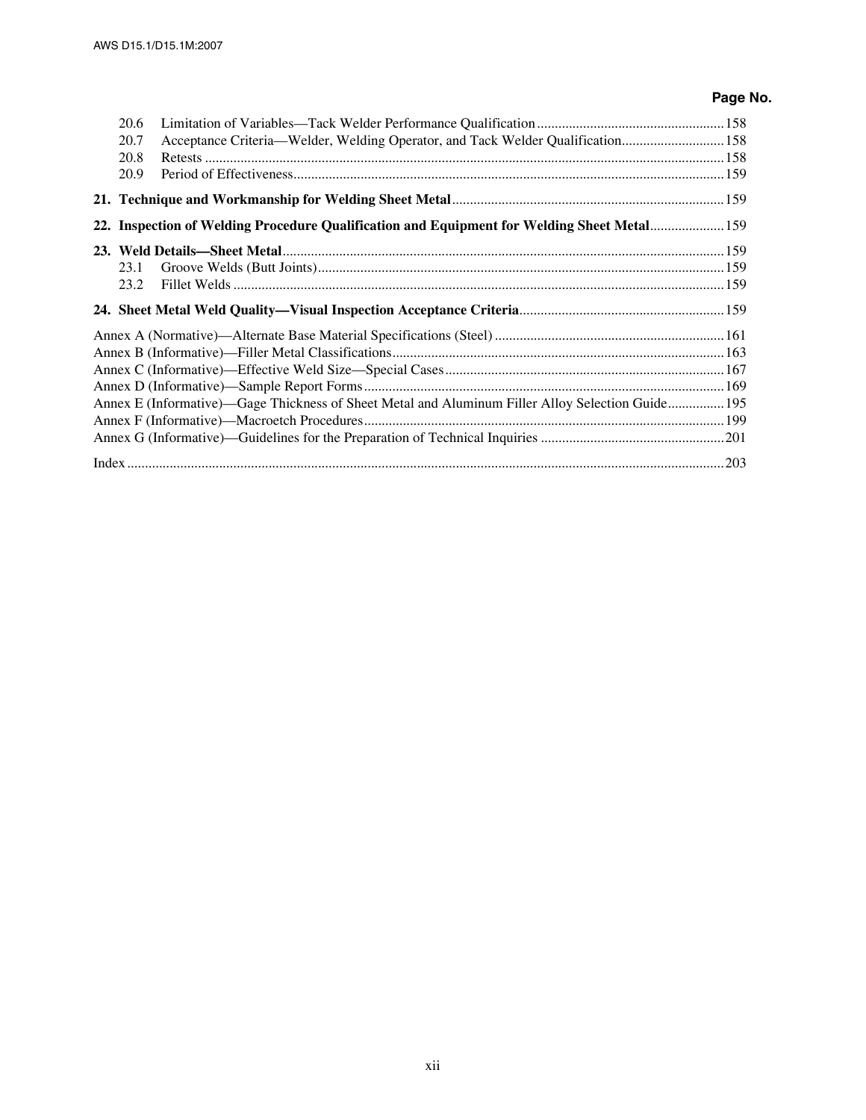| 20.6 |                                                                                                   |  |
|------|---------------------------------------------------------------------------------------------------|--|
| 20.7 | Acceptance Criteria—Welder, Welding Operator, and Tack Welder Qualification 158                   |  |
| 20.8 |                                                                                                   |  |
| 20.9 |                                                                                                   |  |
|      |                                                                                                   |  |
|      | 22. Inspection of Welding Procedure Qualification and Equipment for Welding Sheet Metal 159       |  |
|      |                                                                                                   |  |
| 23.1 |                                                                                                   |  |
| 23.2 |                                                                                                   |  |
|      |                                                                                                   |  |
|      |                                                                                                   |  |
|      |                                                                                                   |  |
|      |                                                                                                   |  |
|      |                                                                                                   |  |
|      | Annex E (Informative)—Gage Thickness of Sheet Metal and Aluminum Filler Alloy Selection Guide 195 |  |
|      |                                                                                                   |  |
|      |                                                                                                   |  |
|      |                                                                                                   |  |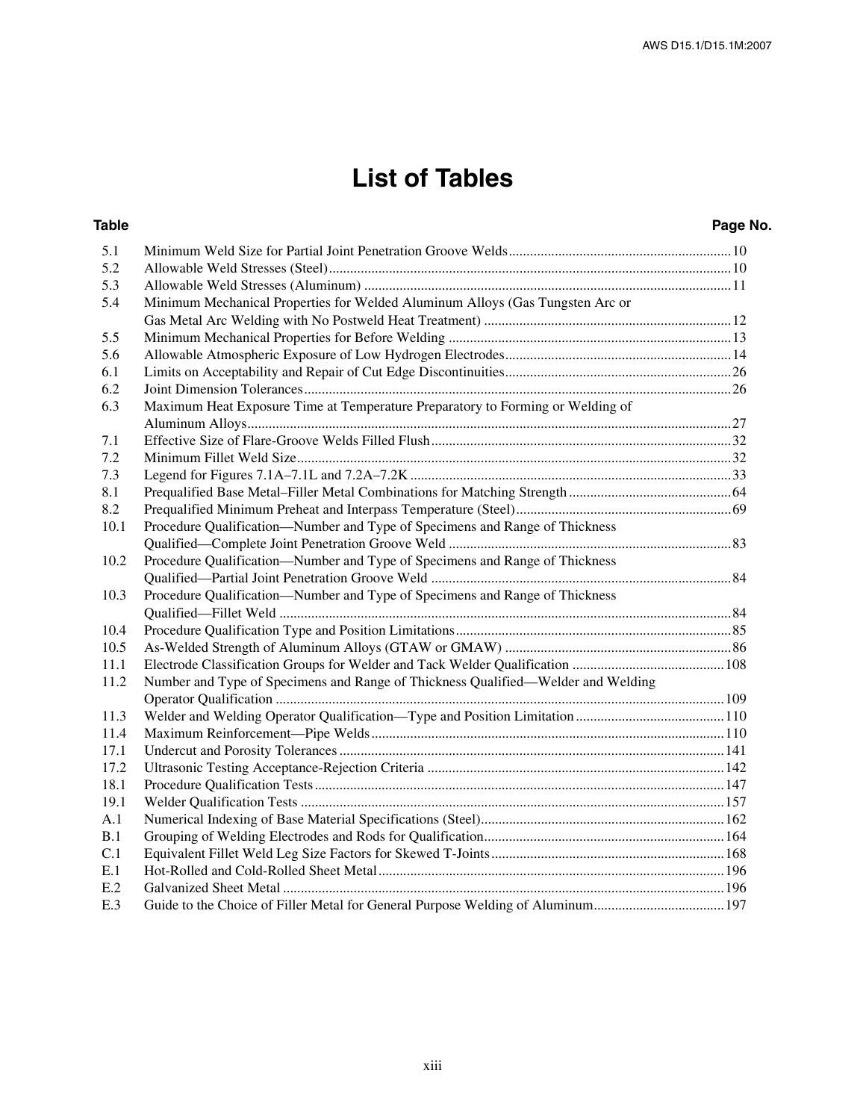### **List of Tables**

#### **Table Page No.** 5.1 Minimum Weld Size for Partial Joint Penetration Groove Welds...............................................................10 5.2 Allowable Weld Stresses (Steel)..................................................................................................................10 5.3 Allowable Weld Stresses (Aluminum) ........................................................................................................11 5.4 Minimum Mechanical Properties for Welded Aluminum Alloys (Gas Tungsten Arc or Gas Metal Arc Welding with No Postweld Heat Treatment) ......................................................................12 5.5 Minimum Mechanical Properties for Before Welding ................................................................................13 5.6 Allowable Atmospheric Exposure of Low Hydrogen Electrodes................................................................14 6.1 Limits on Acceptability and Repair of Cut Edge Discontinuities................................................................26 6.2 Joint Dimension Tolerances.........................................................................................................................26 6.3 Maximum Heat Exposure Time at Temperature Preparatory to Forming or Welding of Aluminum Alloys.........................................................................................................................................27 7.1 Effective Size of Flare-Groove Welds Filled Flush.....................................................................................32 7.2 Minimum Fillet Weld Size...........................................................................................................................32 7.3 Legend for Figures 7.1A–7.1L and 7.2A–7.2K ...........................................................................................33 8.1 Prequalified Base Metal–Filler Metal Combinations for Matching Strength ..............................................64 8.2 Prequalified Minimum Preheat and Interpass Temperature (Steel).............................................................69 10.1 Procedure Qualification—Number and Type of Specimens and Range of Thickness Qualified—Complete Joint Penetration Groove Weld ................................................................................83 10.2 Procedure Qualification—Number and Type of Specimens and Range of Thickness Qualified—Partial Joint Penetration Groove Weld .....................................................................................84 10.3 Procedure Qualification—Number and Type of Specimens and Range of Thickness Qualified—Fillet Weld ................................................................................................................................84 10.4 Procedure Qualification Type and Position Limitations..............................................................................85 10.5 As-Welded Strength of Aluminum Alloys (GTAW or GMAW) ................................................................86 11.1 Electrode Classification Groups for Welder and Tack Welder Qualification ...........................................108 11.2 Number and Type of Specimens and Range of Thickness Qualified—Welder and Welding Operator Qualification ...............................................................................................................................109 11.3 Welder and Welding Operator Qualification—Type and Position Limitation ..........................................110 11.4 Maximum Reinforcement—Pipe Welds....................................................................................................110 17.1 Undercut and Porosity Tolerances .............................................................................................................141 17.2 Ultrasonic Testing Acceptance-Rejection Criteria ....................................................................................142 18.1 Procedure Qualification Tests....................................................................................................................147 19.1 Welder Qualification Tests ........................................................................................................................157 A.1 Numerical Indexing of Base Material Specifications (Steel).....................................................................162 B.1 Grouping of Welding Electrodes and Rods for Qualification....................................................................164 C.1 Equivalent Fillet Weld Leg Size Factors for Skewed T-Joints..................................................................168 E.1 Hot-Rolled and Cold-Rolled Sheet Metal..................................................................................................196 E.2 Galvanized Sheet Metal .............................................................................................................................196 E.3 Guide to the Choice of Filler Metal for General Purpose Welding of Aluminum.....................................197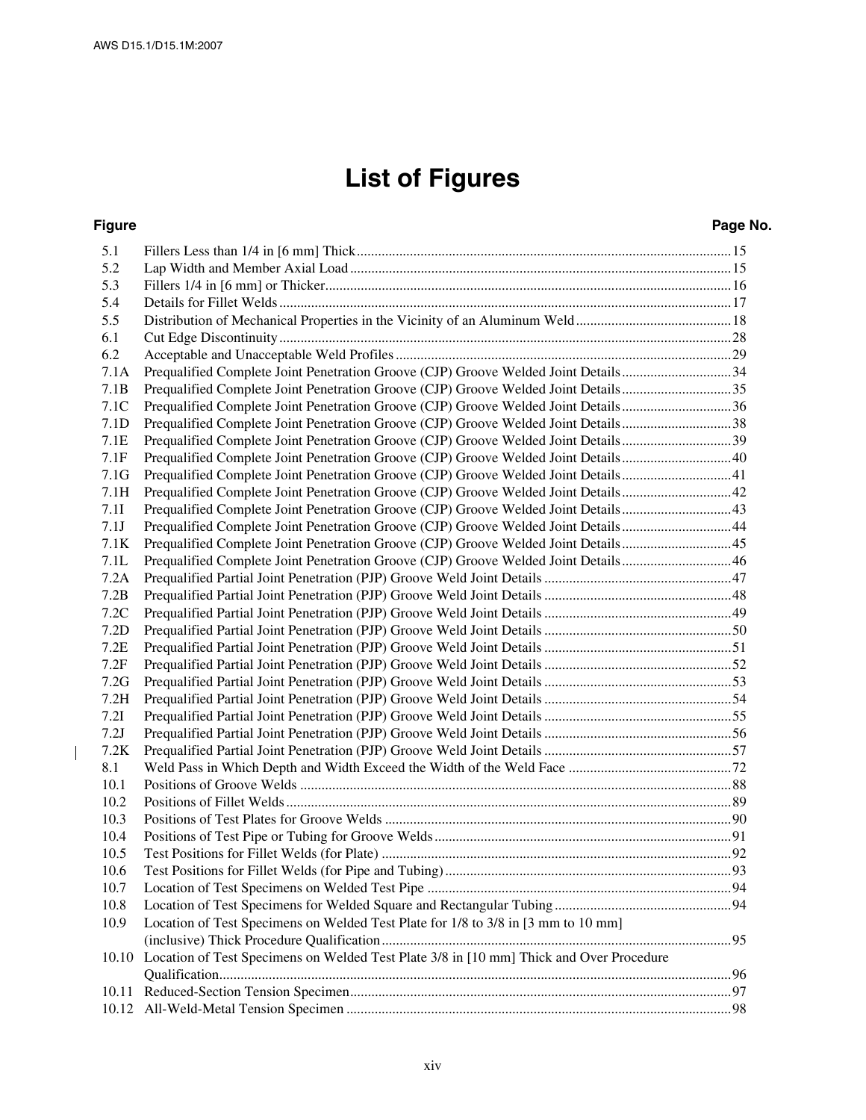$\begin{array}{c} \hline \end{array}$ 

# **List of Figures**

#### **Figure Page No.**

| 5.1   |                                                                                               |  |
|-------|-----------------------------------------------------------------------------------------------|--|
| 5.2   |                                                                                               |  |
| 5.3   |                                                                                               |  |
| 5.4   |                                                                                               |  |
| 5.5   |                                                                                               |  |
| 6.1   |                                                                                               |  |
| 6.2   |                                                                                               |  |
| 7.1A  | Prequalified Complete Joint Penetration Groove (CJP) Groove Welded Joint Details34            |  |
| 7.1B  | Prequalified Complete Joint Penetration Groove (CJP) Groove Welded Joint Details35            |  |
| 7.1C  | Prequalified Complete Joint Penetration Groove (CJP) Groove Welded Joint Details36            |  |
| 7.1D  | Prequalified Complete Joint Penetration Groove (CJP) Groove Welded Joint Details38            |  |
| 7.1E  | Prequalified Complete Joint Penetration Groove (CJP) Groove Welded Joint Details39            |  |
| 7.1F  | Prequalified Complete Joint Penetration Groove (CJP) Groove Welded Joint Details40            |  |
| 7.1G  | Prequalified Complete Joint Penetration Groove (CJP) Groove Welded Joint Details 41           |  |
| 7.1H  |                                                                                               |  |
| 7.11  |                                                                                               |  |
| 7.1J  | Prequalified Complete Joint Penetration Groove (CJP) Groove Welded Joint Details44            |  |
| 7.1K  |                                                                                               |  |
| 7.1L  | Prequalified Complete Joint Penetration Groove (CJP) Groove Welded Joint Details46            |  |
| 7.2A  |                                                                                               |  |
| 7.2B  |                                                                                               |  |
| 7.2C  |                                                                                               |  |
| 7.2D  |                                                                                               |  |
| 7.2E  |                                                                                               |  |
| 7.2F  |                                                                                               |  |
| 7.2G  |                                                                                               |  |
| 7.2H  |                                                                                               |  |
| 7.2I  |                                                                                               |  |
| 7.2J  |                                                                                               |  |
| 7.2K  |                                                                                               |  |
| 8.1   |                                                                                               |  |
| 10.1  |                                                                                               |  |
| 10.2  |                                                                                               |  |
| 10.3  |                                                                                               |  |
| 10.4  |                                                                                               |  |
| 10.5  |                                                                                               |  |
| 10.6  |                                                                                               |  |
| 10.7  |                                                                                               |  |
| 10.8  |                                                                                               |  |
| 10.9  | Location of Test Specimens on Welded Test Plate for 1/8 to 3/8 in [3 mm to 10 mm]             |  |
|       |                                                                                               |  |
|       | 10.10 Location of Test Specimens on Welded Test Plate 3/8 in [10 mm] Thick and Over Procedure |  |
|       |                                                                                               |  |
| 10.11 |                                                                                               |  |
| 10.12 |                                                                                               |  |